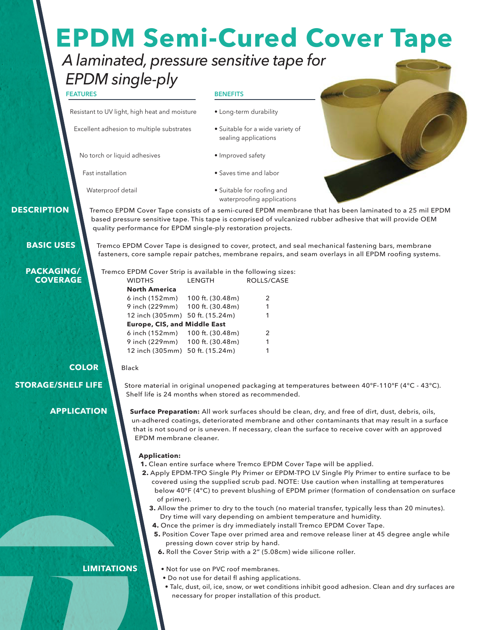# **EPDM Semi-Cured Cover Tape**

### *A laminated, pressure sensitive tape for EPDM single-ply*

#### **FEATURES**

Resistant to UV light, high heat and moisture

Excellent adhesion to multiple substrates

No torch or liquid adhesives

Fast installation

sealing applications

• Long-term durability

• Suitable for a wide variety of

**BENEFITS**

- Improved safety
- Saves time and labor

• Suitable for roofing and waterproofing applications

- Waterproof detail
- **DESCRIPTION**

Tremco EPDM Cover Tape consists of a semi-cured EPDM membrane that has been laminated to a 25 mil EPDM based pressure sensitive tape. This tape is comprised of vulcanized rubber adhesive that will provide OEM quality performance for EPDM single-ply restoration projects.

**BASIC USES**

**PACKAGING/ COVERAGE** Tremco EPDM Cover Tape is designed to cover, protect, and seal mechanical fastening bars, membrane fasteners, core sample repair patches, membrane repairs, and seam overlays in all EPDM roofing systems.

Tremco EPDM Cover Strip is available in the following sizes: BOLLS/CASE

| <b>North America</b>                |   |
|-------------------------------------|---|
| 6 inch (152mm) 100 ft. (30.48m)     | 2 |
| 9 inch (229mm) 100 ft. (30.48m)     | 1 |
| 12 inch (305mm) 50 ft. (15.24m)     | 1 |
| <b>Europe, CIS, and Middle East</b> |   |
| 6 inch (152mm) 100 ft. (30.48m)     | 2 |
| 9 inch (229mm) 100 ft. (30.48m)     | 1 |
| 12 inch (305mm) 50 ft. (15.24m)     | 1 |
|                                     |   |

#### **COLOR**

Black

**STORAGE/SHELF LIFE**

**APPLICATION**

Store material in original unopened packaging at temperatures between 40°F-110°F (4°C - 43°C). Shelf life is 24 months when stored as recommended.

**Surface Preparation:** All work surfaces should be clean, dry, and free of dirt, dust, debris, oils, un-adhered coatings, deteriorated membrane and other contaminants that may result in a surface that is not sound or is uneven. If necessary, clean the surface to receive cover with an approved EPDM membrane cleaner.

#### **Application:**

- **1.** Clean entire surface where Tremco EPDM Cover Tape will be applied.
- **2.** Apply EPDM-TPO Single Ply Primer or EPDM-TPO LV Single Ply Primer to entire surface to be covered using the supplied scrub pad. NOTE: Use caution when installing at temperatures below 40°F (4°C) to prevent blushing of EPDM primer (formation of condensation on surface of primer).
	- **3.** Allow the primer to dry to the touch (no material transfer, typically less than 20 minutes). Dry time will vary depending on ambient temperature and humidity.
	- **4.** Once the primer is dry immediately install Tremco EPDM Cover Tape.
	- **5.** Position Cover Tape over primed area and remove release liner at 45 degree angle while pressing down cover strip by hand.
	- **6.** Roll the Cover Strip with a 2" (5.08cm) wide silicone roller.

#### **LIMITATIONS**

- Not for use on PVC roof membranes.
- Do not use for detail fl ashing applications.
- Talc, dust, oil, ice, snow, or wet conditions inhibit good adhesion. Clean and dry surfaces are necessary for proper installation of this product.